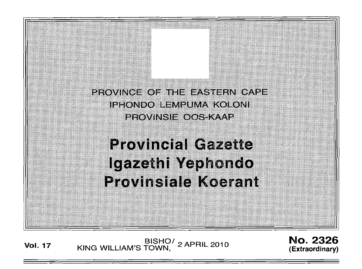PROVINCE OF THE EASTERN CAPE<br>IPHONDO LEMPUMA KOLONI<br>PROVINSIE OOS-KAAP

'C' :,~,~"::j

**Provincial Gazette** Igazethi Yephondo **Provinsiale Koerant** 

**Vol. <sup>17</sup>** BISHOI KING WILLIAM'S TOWN, 2 APRIL 2010

No. 2326 **(Extraordinary)**

*i::*-,*::::::...* :.::.;.(\::::.~.: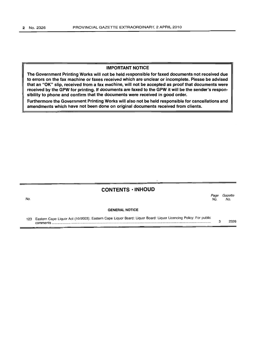#### IMPORTANT NOTICE

The Government Printing Works will not be held responsible for faxed documents not received due to errors on the fax machine or faxes received which are unclear or incomplete. Please be advised that an "OK" slip, received from a fax machine, will not be accepted as proof that documents were received by the GPW for printing. If documents are faxed to the GPW it will be the sender's responsibility to phone and confirm that the documents were received in good order.

Furthermore the Government Printing Works will also not be held responsible for cancellations and amendments which have not been done on original documents received from clients.

# CONTENTS· INHOUD

| No. |                                                                                                                                 | Page<br>No. | Gazette<br>No. |
|-----|---------------------------------------------------------------------------------------------------------------------------------|-------------|----------------|
|     | <b>GENERAL NOTICE</b>                                                                                                           |             |                |
|     | 123 Eastern Cape Liquor Act (10/2003): Eastern Cape Liquor Board: Liquor Board: Liquor Licencing Policy: For public<br>comments |             | 2326           |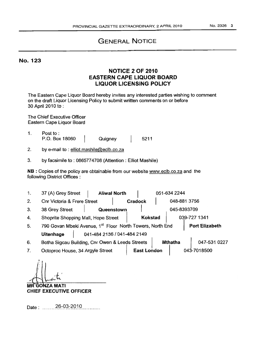# GENERAL NOTICE

# No. 123

# NOTICE 2 OF 2010 EASTERN CAPE LIQUOR BOARD LIQUOR LICENSING POLICY

The Eastern Cape Liquor Board hereby invites any interested parties wishing to comment on the draft Liquor Licensing Policy to submit written comments on or before 30 April 2010 to:

The Chief Executive Officer Eastern Cape Liquor Board

1. Post to: P.O. Box 18060 QUigney 5211

2. by e-mail to: elliot.mashile@eclb.co.za

3. by facsimile to: 0865774708 (Attention: Elliot Mashile)

NB : Copies of the policy are obtainable from our website www.eclb.co.za and the following District Offices:

| 1. | 37 (A) Grey Street                              | <b>Aliwal North</b>                                                                |  |                         |              | 051-634 2244 |  |  |
|----|-------------------------------------------------|------------------------------------------------------------------------------------|--|-------------------------|--------------|--------------|--|--|
| 2. | <b>Cnr Victoria &amp; Frere Street</b>          |                                                                                    |  | Cradock<br>048-881 3756 |              |              |  |  |
| 3. | 38 Grey Street                                  | Queenstown                                                                         |  |                         |              | 045-8393709  |  |  |
| 4. | Shoprite Shopping Mall, Hope Street             |                                                                                    |  | <b>Kokstad</b>          |              | 039-727 1341 |  |  |
| 5. |                                                 | 790 Govan Mbeki Avenue, 1st Floor North Towers, North End<br><b>Port Elizabeth</b> |  |                         |              |              |  |  |
|    | <b>Uitenhage</b><br>041-484 2136 / 041-484 2149 |                                                                                    |  |                         |              |              |  |  |
| 6. |                                                 | Botha Sigcau Building, Cnr Owen & Leeds Streets<br><b>Mthatha</b>                  |  |                         | 047-531 0227 |              |  |  |
| 7. | Octoproc House, 34 Argyle Street                |                                                                                    |  | <b>East London</b>      |              | 043-7018500  |  |  |
|    |                                                 |                                                                                    |  |                         |              |              |  |  |

**MR GONZA MATI** CHIEF EXECUTIVE OFFICER

Date: ........26-03-2010............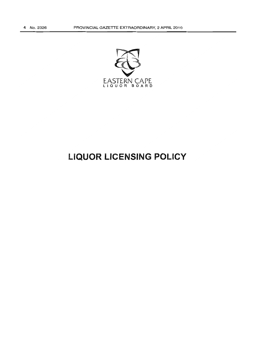

# **LIQUOR LICENSING POLICY**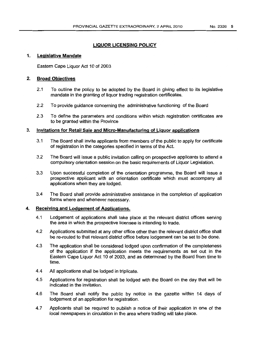## LIQUOR LICENSING POLICY

#### 1. Legislative Mandate

Eastern Cape Liquor Act 10 of 2003

#### 2. Broad Objectives

- 2.1 To outline the policy to be adopted by the Board in giving effect to its legislative mandate in the granting of liquor trading registration certificates.
- 2.2 To provide guidance concerning the administrative functioning of the Board
- 2.3 To define the parameters and conditions within which registration certificates are to be granted within the Province

#### 3. Invitations for Retail Sale and Micro-Manufacturing of Liquor applications

- 3.1 The Board shall invite applicants from members of the public to apply for certificate of registration in the categories specified in terms of the Act.
- 3.2 The Board will issue a public invitation calling on prospective applicants to attend a compulsory orientation session on the basic requirements of Liquor Legislation.
- 3.3 Upon successful completion of the orientation programme, the Board will issue a prospective applicant with an orientation certificate which must accompany all applications when they are lodged.
- 3.4 The Board shall provide administrative assistance in the completion of application forms where and whenever necessary.

#### 4. Receiving and Lodgement of Applications.

- 4.1 Lodgement of applications shall take place at the relevant district offices serving the area in which the prospective licensee is intending to trade.
- 4.2 Applications SUbmitted at any other office other than the relevant district office shall be re-routed to that relevant district office before lodgement can be set to be done.
- 4.3 The application shall be considered lodged upon confirmation of the completeness of the application if the application meets the requirements as set out in the Eastern Cape Liquor Act 10 of 2003, and as determined by the Board from time to time.
- 4.4 All applications shall be lodged in triplicate.
- 4.5 Applications for registration shall be lodged with the Board on the day that will be indicated in the invitation.
- 4.6 The Board shall notify the public by notice in the gazette within 14 days of lodgement of an application for registration.
- 4.7 Applicants shall be required to publish a notice of their application in one of the local newspapers in circulation in the area where trading will take place.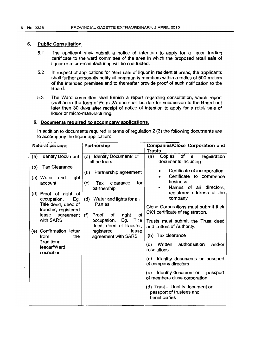#### 5. Public Consultation

- 5.1 The applicant shall submit a notice of intention to apply for a liquor trading certificate to the ward committee of the area in which the proposed retail sale of liquor or micro-manufacturing will be conducted.
- 5.2 In respect of applications for retail sale of liquor in residential areas, the applicants shall further personally notify all community members within a radius of 500 meters of the intended premises and to thereafter provide proof of such notification to the Board.
- 5.3 The Ward committee shall furnish a report regarding consultation, which report shall be in the form of Form 2A and shall be due for submission to the Board not later then 30 days after receipt of notice of intention to apply for a retail sale of liquor or micro-manufacturing.

#### 6. Documents required to accompany applications.

In addition to documents required in terms of regulation 2 (3) the following documents are to accompany the liquor application:

| <b>Natural persons</b>                                                                                                                                                                                                                                 |                                  | Partnership                                                                                                                                                                                                                                                              | Companies/Close Corporation and                                                                                                                                                                                                                                                                                                                                                    |  |  |  |  |
|--------------------------------------------------------------------------------------------------------------------------------------------------------------------------------------------------------------------------------------------------------|----------------------------------|--------------------------------------------------------------------------------------------------------------------------------------------------------------------------------------------------------------------------------------------------------------------------|------------------------------------------------------------------------------------------------------------------------------------------------------------------------------------------------------------------------------------------------------------------------------------------------------------------------------------------------------------------------------------|--|--|--|--|
|                                                                                                                                                                                                                                                        |                                  |                                                                                                                                                                                                                                                                          | Trusts                                                                                                                                                                                                                                                                                                                                                                             |  |  |  |  |
| <b>Identity Document</b><br>(a)                                                                                                                                                                                                                        |                                  | Identity Documents of<br>(a)<br>all partners                                                                                                                                                                                                                             | of<br>(a)<br>Copies<br>all<br>registration<br>documents including:                                                                                                                                                                                                                                                                                                                 |  |  |  |  |
| <b>Tax Clearance</b><br>(b)<br>(c) Water<br>and<br>account<br>(d) Proof of right of<br>occupation.<br>Title deed, deed of<br>transfer, registered<br>lease<br>with SARS<br>(e) Confirmation letter<br>from<br>Traditional<br>leader/Ward<br>councillor | light<br>Eg.<br>agreement<br>the | Partnership agreement<br>(b)<br>clearance<br>for<br>(c)<br>Tax<br>partnership<br>Water and lights for all<br>(d)<br>Parties<br>of<br>right<br>(f)<br>Proof<br>of<br>Eg.<br>Title<br>occupation.<br>deed, deed of transfer,<br>registered<br>lease<br>agreement with SARS | Certificate of incorporation<br>Certificate to commence<br>٠<br>business<br>Names of all<br>directors,<br>۰<br>registered address of the<br>company<br>Close Corporations must submit their<br>CK1 certificate of registration.<br>Trusts must submit the Trust deed<br>and Letters of Authority.<br>(b) Tax clearance<br>authorisation<br>Written<br>and/or<br>(c)<br>resolutions |  |  |  |  |
|                                                                                                                                                                                                                                                        |                                  |                                                                                                                                                                                                                                                                          | Identity documents or passport<br>(d)<br>of company directors<br>Identity document or<br>passport<br>(e)                                                                                                                                                                                                                                                                           |  |  |  |  |
|                                                                                                                                                                                                                                                        |                                  |                                                                                                                                                                                                                                                                          | of members close corporation.<br>(d) Trust - Identity document or<br>passport of trustees and<br>beneficiaries                                                                                                                                                                                                                                                                     |  |  |  |  |